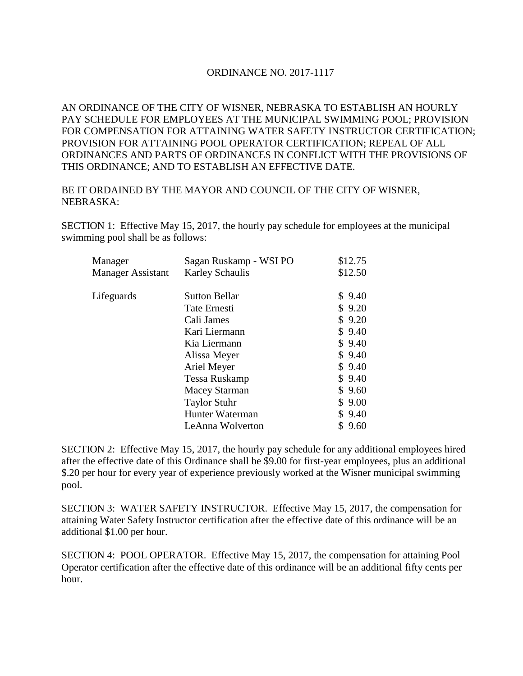## ORDINANCE NO. 2017-1117

AN ORDINANCE OF THE CITY OF WISNER, NEBRASKA TO ESTABLISH AN HOURLY PAY SCHEDULE FOR EMPLOYEES AT THE MUNICIPAL SWIMMING POOL; PROVISION FOR COMPENSATION FOR ATTAINING WATER SAFETY INSTRUCTOR CERTIFICATION; PROVISION FOR ATTAINING POOL OPERATOR CERTIFICATION; REPEAL OF ALL ORDINANCES AND PARTS OF ORDINANCES IN CONFLICT WITH THE PROVISIONS OF THIS ORDINANCE; AND TO ESTABLISH AN EFFECTIVE DATE.

BE IT ORDAINED BY THE MAYOR AND COUNCIL OF THE CITY OF WISNER, NEBRASKA:

SECTION 1: Effective May 15, 2017, the hourly pay schedule for employees at the municipal swimming pool shall be as follows:

| Manager           | Sagan Ruskamp - WSI PO | \$12.75 |
|-------------------|------------------------|---------|
| Manager Assistant | <b>Karley Schaulis</b> | \$12.50 |
| Lifeguards        | <b>Sutton Bellar</b>   | \$9.40  |
|                   | Tate Ernesti           | \$9.20  |
|                   | Cali James             | \$9.20  |
|                   | Kari Liermann          | \$9.40  |
|                   | Kia Liermann           | \$9.40  |
|                   | Alissa Meyer           | \$9.40  |
|                   | Ariel Meyer            | \$9.40  |
|                   | Tessa Ruskamp          | \$9.40  |
|                   | <b>Macey Starman</b>   | \$9.60  |
|                   | <b>Taylor Stuhr</b>    | \$9.00  |
|                   | Hunter Waterman        | \$9.40  |
|                   | LeAnna Wolverton       | \$9.60  |

SECTION 2: Effective May 15, 2017, the hourly pay schedule for any additional employees hired after the effective date of this Ordinance shall be \$9.00 for first-year employees, plus an additional \$.20 per hour for every year of experience previously worked at the Wisner municipal swimming pool.

SECTION 3: WATER SAFETY INSTRUCTOR. Effective May 15, 2017, the compensation for attaining Water Safety Instructor certification after the effective date of this ordinance will be an additional \$1.00 per hour.

SECTION 4: POOL OPERATOR. Effective May 15, 2017, the compensation for attaining Pool Operator certification after the effective date of this ordinance will be an additional fifty cents per hour.